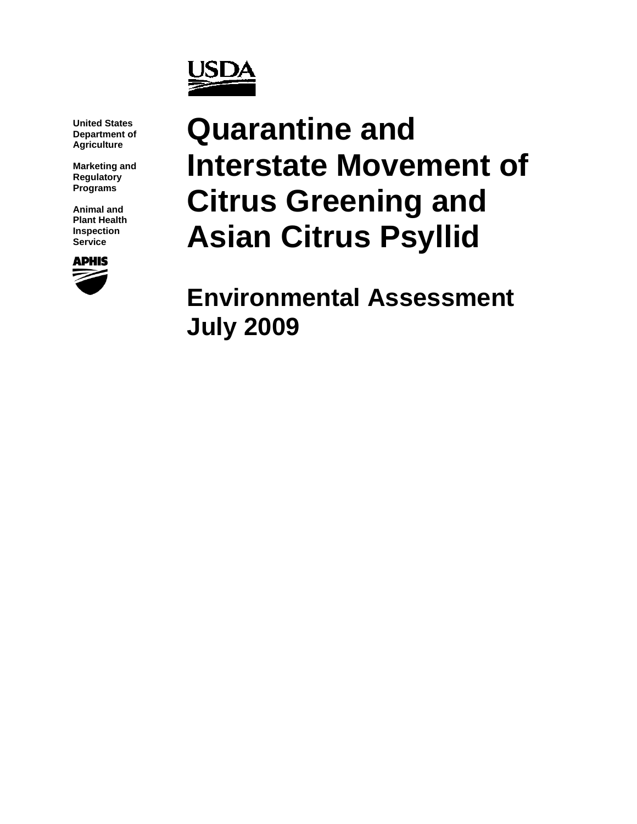

**United States Department of Agriculture**

**Marketing and Regulatory Programs**

**Animal and Plant Health Inspection Service**



# **Quarantine and Interstate Movement of Citrus Greening and Asian Citrus Psyllid**

**Environmental Assessment July 2009**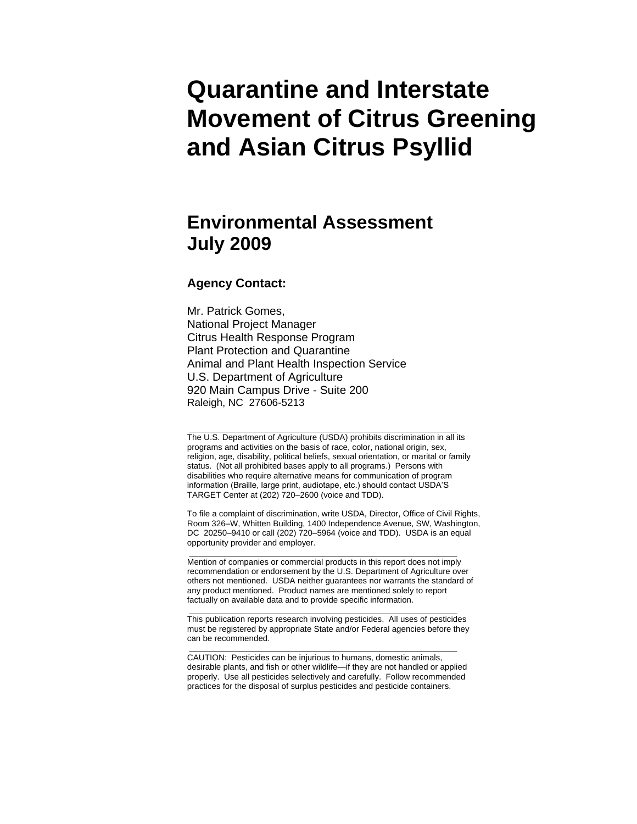# **Quarantine and Interstate Movement of Citrus Greening and Asian Citrus Psyllid**

# **Environmental Assessment July 2009**

#### **Agency Contact:**

Mr. Patrick Gomes, National Project Manager Citrus Health Response Program Plant Protection and Quarantine Animal and Plant Health Inspection Service U.S. Department of Agriculture 920 Main Campus Drive - Suite 200 Raleigh, NC 27606-5213

The U.S. Department of Agriculture (USDA) prohibits discrimination in all its programs and activities on the basis of race, color, national origin, sex, religion, age, disability, political beliefs, sexual orientation, or marital or family status. (Not all prohibited bases apply to all programs.) Persons with disabilities who require alternative means for communication of program information (Braille, large print, audiotape, etc.) should contact USDA'S TARGET Center at (202) 720–2600 (voice and TDD).

\_\_\_\_\_\_\_\_\_\_\_\_\_\_\_\_\_\_\_\_\_\_\_\_\_\_\_\_\_\_\_\_\_\_\_\_\_\_\_\_\_\_\_\_\_\_\_\_\_\_\_\_\_\_\_\_\_\_

To file a complaint of discrimination, write USDA, Director, Office of Civil Rights, Room 326–W, Whitten Building, 1400 Independence Avenue, SW, Washington, DC 20250–9410 or call (202) 720–5964 (voice and TDD). USDA is an equal opportunity provider and employer.

Mention of companies or commercial products in this report does not imply recommendation or endorsement by the U.S. Department of Agriculture over others not mentioned. USDA neither guarantees nor warrants the standard of any product mentioned. Product names are mentioned solely to report factually on available data and to provide specific information.

\_\_\_\_\_\_\_\_\_\_\_\_\_\_\_\_\_\_\_\_\_\_\_\_\_\_\_\_\_\_\_\_\_\_\_\_\_\_\_\_\_\_\_\_\_\_\_\_\_\_\_\_\_\_\_\_\_\_

This publication reports research involving pesticides. All uses of pesticides must be registered by appropriate State and/or Federal agencies before they can be recommended.

\_\_\_\_\_\_\_\_\_\_\_\_\_\_\_\_\_\_\_\_\_\_\_\_\_\_\_\_\_\_\_\_\_\_\_\_\_\_\_\_\_\_\_\_\_\_\_\_\_\_\_\_\_\_\_\_\_\_

\_\_\_\_\_\_\_\_\_\_\_\_\_\_\_\_\_\_\_\_\_\_\_\_\_\_\_\_\_\_\_\_\_\_\_\_\_\_\_\_\_\_\_\_\_\_\_\_\_\_\_\_\_\_\_\_\_\_

CAUTION: Pesticides can be injurious to humans, domestic animals, desirable plants, and fish or other wildlife—if they are not handled or applied properly. Use all pesticides selectively and carefully. Follow recommended practices for the disposal of surplus pesticides and pesticide containers.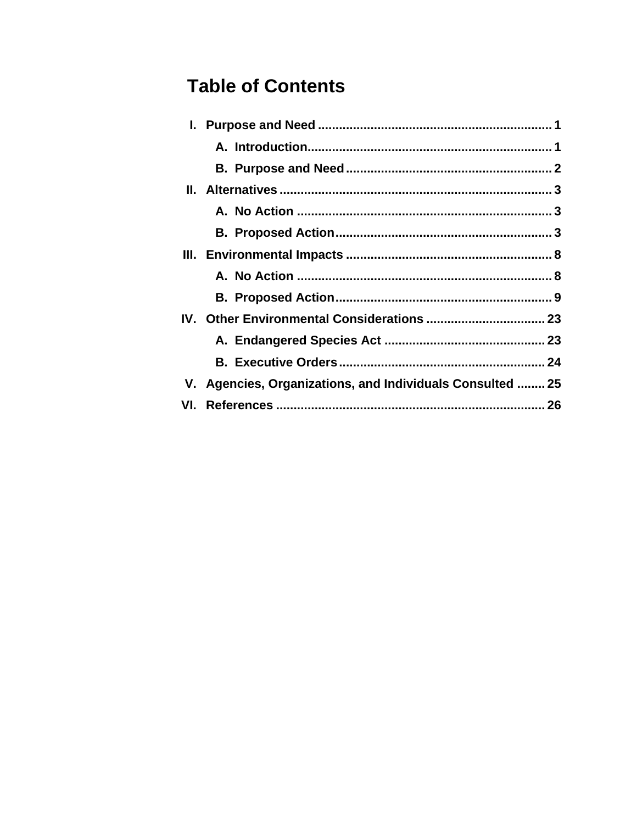# **Table of Contents**

| V. Agencies, Organizations, and Individuals Consulted  25 |  |
|-----------------------------------------------------------|--|
|                                                           |  |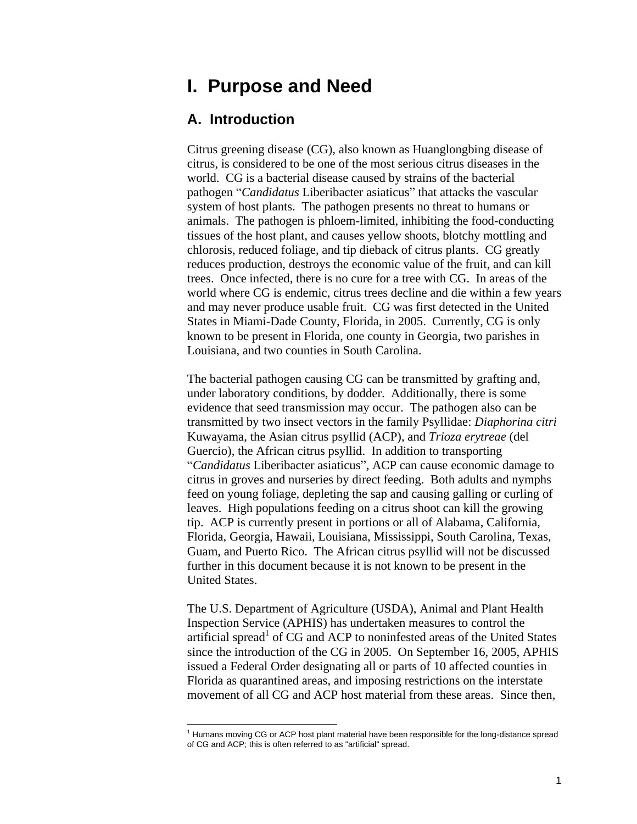# <span id="page-3-0"></span>**I. Purpose and Need**

#### <span id="page-3-1"></span>**A. Introduction**

 $\overline{a}$ 

Citrus greening disease (CG), also known as Huanglongbing disease of citrus, is considered to be one of the most serious citrus diseases in the world. CG is a bacterial disease caused by strains of the bacterial pathogen "Candidatus Liberibacter asiaticus" that attacks the vascular system of host plants. The pathogen presents no threat to humans or animals. The pathogen is phloem-limited, inhibiting the food-conducting tissues of the host plant, and causes yellow shoots, blotchy mottling and chlorosis, reduced foliage, and tip dieback of citrus plants. CG greatly reduces production, destroys the economic value of the fruit, and can kill trees. Once infected, there is no cure for a tree with CG. In areas of the world where CG is endemic, citrus trees decline and die within a few years and may never produce usable fruit. CG was first detected in the United States in Miami-Dade County, Florida, in 2005. Currently, CG is only known to be present in Florida, one county in Georgia, two parishes in Louisiana, and two counties in South Carolina.

The bacterial pathogen causing CG can be transmitted by grafting and, under laboratory conditions, by dodder. Additionally, there is some evidence that seed transmission may occur. The pathogen also can be transmitted by two insect vectors in the family Psyllidae: *Diaphorina citri*  Kuwayama, the Asian citrus psyllid (ACP), and *Trioza erytreae* (del Guercio), the African citrus psyllid. In addition to transporting ―*Candidatus* Liberibacter asiaticus‖, ACP can cause economic damage to citrus in groves and nurseries by direct feeding. Both adults and nymphs feed on young foliage, depleting the sap and causing galling or curling of leaves. High populations feeding on a citrus shoot can kill the growing tip. ACP is currently present in portions or all of Alabama, California, Florida, Georgia, Hawaii, Louisiana, Mississippi, South Carolina, Texas, Guam, and Puerto Rico. The African citrus psyllid will not be discussed further in this document because it is not known to be present in the United States.

The U.S. Department of Agriculture (USDA), Animal and Plant Health Inspection Service (APHIS) has undertaken measures to control the artificial spread<sup>1</sup> of CG and ACP to noninfested areas of the United States since the introduction of the CG in 2005. On September 16, 2005, APHIS issued a Federal Order designating all or parts of 10 affected counties in Florida as quarantined areas, and imposing restrictions on the interstate movement of all CG and ACP host material from these areas. Since then,

 $<sup>1</sup>$  Humans moving CG or ACP host plant material have been responsible for the long-distance spread</sup> of CG and ACP; this is often referred to as "artificial" spread.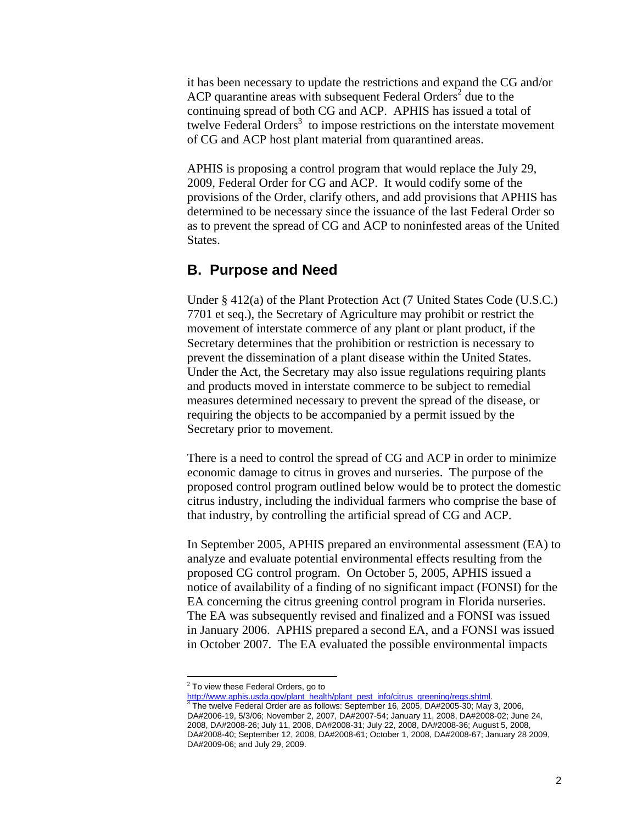it has been necessary to update the restrictions and expand the CG and/or ACP quarantine areas with subsequent Federal Orders<sup>2</sup> due to the continuing spread of both CG and ACP. APHIS has issued a total of twelve Federal Orders $3$  to impose restrictions on the interstate movement of CG and ACP host plant material from quarantined areas.

APHIS is proposing a control program that would replace the July 29, 2009, Federal Order for CG and ACP. It would codify some of the provisions of the Order, clarify others, and add provisions that APHIS has determined to be necessary since the issuance of the last Federal Order so as to prevent the spread of CG and ACP to noninfested areas of the United States.

#### <span id="page-4-0"></span>**B. Purpose and Need**

Under § 412(a) of the Plant Protection Act (7 United States Code (U.S.C.) 7701 et seq.), the Secretary of Agriculture may prohibit or restrict the movement of interstate commerce of any plant or plant product, if the Secretary determines that the prohibition or restriction is necessary to prevent the dissemination of a plant disease within the United States. Under the Act, the Secretary may also issue regulations requiring plants and products moved in interstate commerce to be subject to remedial measures determined necessary to prevent the spread of the disease, or requiring the objects to be accompanied by a permit issued by the Secretary prior to movement.

There is a need to control the spread of CG and ACP in order to minimize economic damage to citrus in groves and nurseries. The purpose of the proposed control program outlined below would be to protect the domestic citrus industry, including the individual farmers who comprise the base of that industry, by controlling the artificial spread of CG and ACP.

In September 2005, APHIS prepared an environmental assessment (EA) to analyze and evaluate potential environmental effects resulting from the proposed CG control program. On October 5, 2005, APHIS issued a notice of availability of a finding of no significant impact (FONSI) for the EA concerning the citrus greening control program in Florida nurseries. The EA was subsequently revised and finalized and a FONSI was issued in January 2006. APHIS prepared a second EA, and a FONSI was issued in October 2007. The EA evaluated the possible environmental impacts

 $^2$  To view these Federal Orders, go to

http://www.aphis.usda.gov/plant\_health/plant\_pest\_info/citrus\_greening/regs.shtml.

<sup>3</sup> The twelve Federal Order are as follows: September 16, 2005, DA#2005-30; May 3, 2006, DA#2006-19, 5/3/06; November 2, 2007, DA#2007-54; January 11, 2008, DA#2008-02; June 24, 2008, DA#2008-26; July 11, 2008, DA#2008-31; July 22, 2008, DA#2008-36; August 5, 2008, DA#2008-40; September 12, 2008, DA#2008-61; October 1, 2008, DA#2008-67; January 28 2009, DA#2009-06; and July 29, 2009.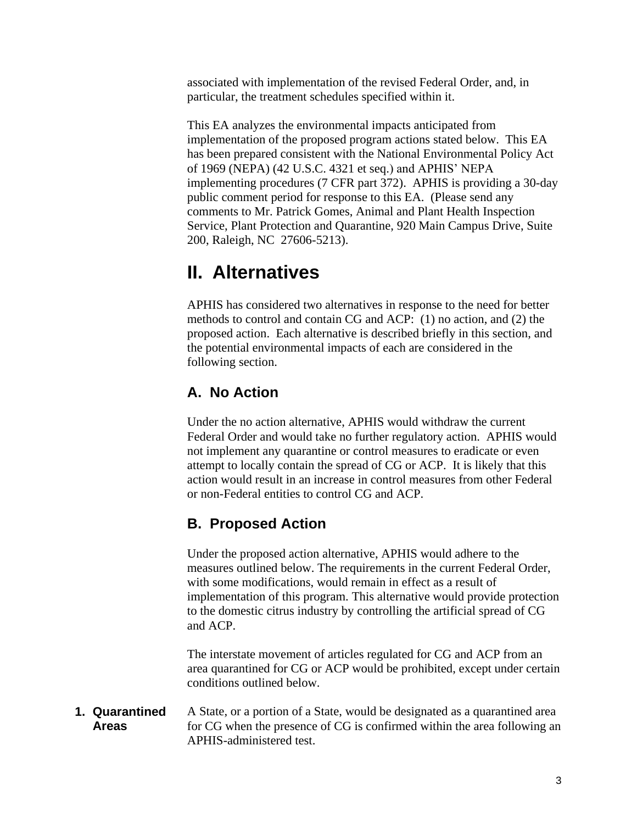associated with implementation of the revised Federal Order, and, in particular, the treatment schedules specified within it.

This EA analyzes the environmental impacts anticipated from implementation of the proposed program actions stated below. This EA has been prepared consistent with the National Environmental Policy Act of 1969 (NEPA) (42 U.S.C. 4321 et seq.) and APHIS' NEPA implementing procedures (7 CFR part 372). APHIS is providing a 30-day public comment period for response to this EA. (Please send any comments to Mr. Patrick Gomes, Animal and Plant Health Inspection Service, Plant Protection and Quarantine, 920 Main Campus Drive, Suite 200, Raleigh, NC 27606-5213).

# <span id="page-5-0"></span>**II. Alternatives**

APHIS has considered two alternatives in response to the need for better methods to control and contain CG and ACP: (1) no action, and (2) the proposed action. Each alternative is described briefly in this section, and the potential environmental impacts of each are considered in the following section.

### <span id="page-5-1"></span>**A. No Action**

Under the no action alternative, APHIS would withdraw the current Federal Order and would take no further regulatory action. APHIS would not implement any quarantine or control measures to eradicate or even attempt to locally contain the spread of CG or ACP. It is likely that this action would result in an increase in control measures from other Federal or non-Federal entities to control CG and ACP.

### <span id="page-5-2"></span>**B. Proposed Action**

Under the proposed action alternative, APHIS would adhere to the measures outlined below. The requirements in the current Federal Order, with some modifications, would remain in effect as a result of implementation of this program. This alternative would provide protection to the domestic citrus industry by controlling the artificial spread of CG and ACP.

The interstate movement of articles regulated for CG and ACP from an area quarantined for CG or ACP would be prohibited, except under certain conditions outlined below.

A State, or a portion of a State, would be designated as a quarantined area for CG when the presence of CG is confirmed within the area following an APHIS-administered test. **1. Quarantined Areas**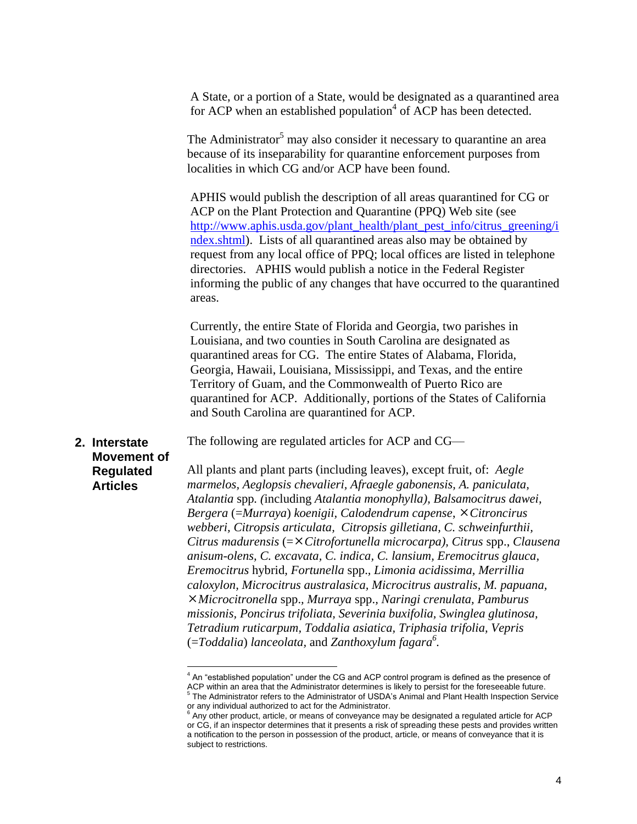A State, or a portion of a State, would be designated as a quarantined area for ACP when an established population<sup>4</sup> of ACP has been detected.

The Administrator<sup>5</sup> may also consider it necessary to quarantine an area because of its inseparability for quarantine enforcement purposes from localities in which CG and/or ACP have been found.

APHIS would publish the description of all areas quarantined for CG or ACP on the Plant Protection and Quarantine (PPQ) Web site (see [http://www.aphis.usda.gov/plant\\_health/plant\\_pest\\_info/citrus\\_greening/i](http://www.aphis.usda.gov/plant_health/plant_pest_info/citrus_greening/index.shtml) [ndex.shtml\)](http://www.aphis.usda.gov/plant_health/plant_pest_info/citrus_greening/index.shtml). Lists of all quarantined areas also may be obtained by request from any local office of PPQ; local offices are listed in telephone directories. APHIS would publish a notice in the Federal Register informing the public of any changes that have occurred to the quarantined areas.

Currently, the entire State of Florida and Georgia, two parishes in Louisiana, and two counties in South Carolina are designated as quarantined areas for CG. The entire States of Alabama, Florida, Georgia, Hawaii, Louisiana, Mississippi, and Texas, and the entire Territory of Guam, and the Commonwealth of Puerto Rico are quarantined for ACP. Additionally, portions of the States of California and South Carolina are quarantined for ACP.

The following are regulated articles for ACP and CG—

#### **2. Interstate Movement of Regulated Articles**

All plants and plant parts (including leaves), except fruit, of: *Aegle marmelos, Aeglopsis chevalieri, Afraegle gabonensis, A. paniculata, Atalantia* spp*. (*including *Atalantia monophylla), Balsamocitrus dawei, Bergera* (=*Murraya*) *koenigii, Calodendrum capense*, *Citroncirus webberi, Citropsis articulata, Citropsis gilletiana, C. schweinfurthii, Citrus madurensis* (=*Citrofortunella microcarpa), Citrus* spp., *Clausena anisum-olens, C. excavata, C. indica, C. lansium, Eremocitrus glauca, Eremocitrus* hybrid*, Fortunella* spp.*, Limonia acidissima, Merrillia caloxylon, Microcitrus australasica, Microcitrus australis, M. papuana, Microcitronella* spp.*, Murraya* spp.*, Naringi crenulata, Pamburus missionis, Poncirus trifoliata, Severinia buxifolia, Swinglea glutinosa, Tetradium ruticarpum, Toddalia asiatica, Triphasia trifolia, Vepris*  (=*Toddalia*) *lanceolata,* and *Zanthoxylum fagara<sup>6</sup> .*

erthandord and the CG and ACP control program is defined as the presence of An "established population" under the CG and ACP control program is defined as the presence of ACP within an area that the Administrator determines is likely to persist for the foreseeable future.<br><sup>5</sup> The Administrator refers to the Administrator of USDA's Animal and Plant Health Inspection Service or any individual authorized to act for the Administrator.<br><sup>6</sup> Apy other product, orticle, or means of conveyings must

Any other product, article, or means of conveyance may be designated a regulated article for ACP or CG, if an inspector determines that it presents a risk of spreading these pests and provides written a notification to the person in possession of the product, article, or means of conveyance that it is subject to restrictions.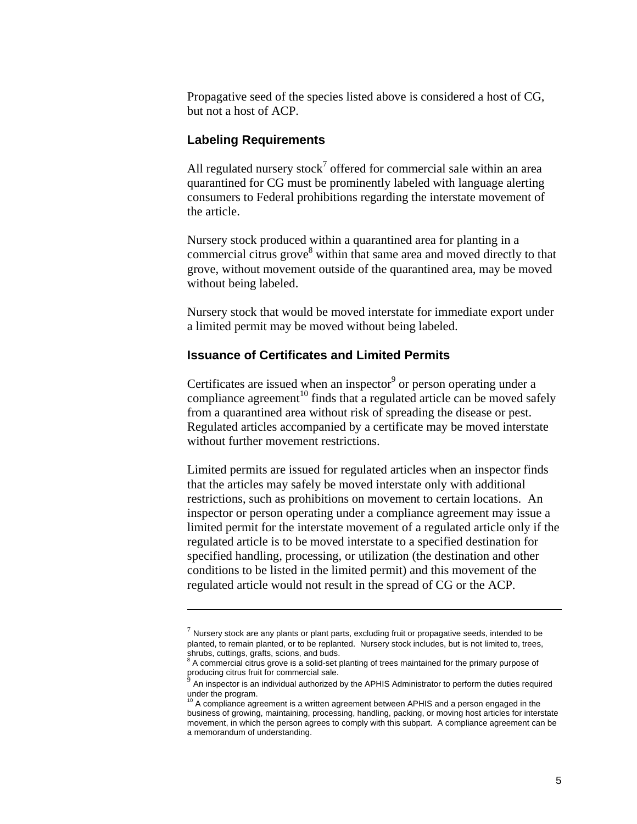Propagative seed of the species listed above is considered a host of CG, but not a host of ACP.

#### **Labeling Requirements**

 $\overline{a}$ 

All regulated nursery stock<sup>7</sup> offered for commercial sale within an area quarantined for CG must be prominently labeled with language alerting consumers to Federal prohibitions regarding the interstate movement of the article.

Nursery stock produced within a quarantined area for planting in a commercial citrus grove<sup>8</sup> within that same area and moved directly to that grove, without movement outside of the quarantined area, may be moved without being labeled.

Nursery stock that would be moved interstate for immediate export under a limited permit may be moved without being labeled.

#### **Issuance of Certificates and Limited Permits**

Certificates are issued when an inspector<sup>9</sup> or person operating under a compliance agreement<sup>10</sup> finds that a regulated article can be moved safely from a quarantined area without risk of spreading the disease or pest. Regulated articles accompanied by a certificate may be moved interstate without further movement restrictions.

Limited permits are issued for regulated articles when an inspector finds that the articles may safely be moved interstate only with additional restrictions, such as prohibitions on movement to certain locations. An inspector or person operating under a compliance agreement may issue a limited permit for the interstate movement of a regulated article only if the regulated article is to be moved interstate to a specified destination for specified handling, processing, or utilization (the destination and other conditions to be listed in the limited permit) and this movement of the regulated article would not result in the spread of CG or the ACP.

 $^7$  Nursery stock are any plants or plant parts, excluding fruit or propagative seeds, intended to be planted, to remain planted, or to be replanted. Nursery stock includes, but is not limited to, trees, shrubs, cuttings, grafts, scions, and buds.<br><sup>8</sup> A commercial citrus grove is a solid-set planting of trees maintained for the primary purpose of

producing citrus fruit for commercial sale. 9

An inspector is an individual authorized by the APHIS Administrator to perform the duties required under the program.

<sup>10</sup> A compliance agreement is a written agreement between APHIS and a person engaged in the business of growing, maintaining, processing, handling, packing, or moving host articles for interstate movement, in which the person agrees to comply with this subpart. A compliance agreement can be a memorandum of understanding.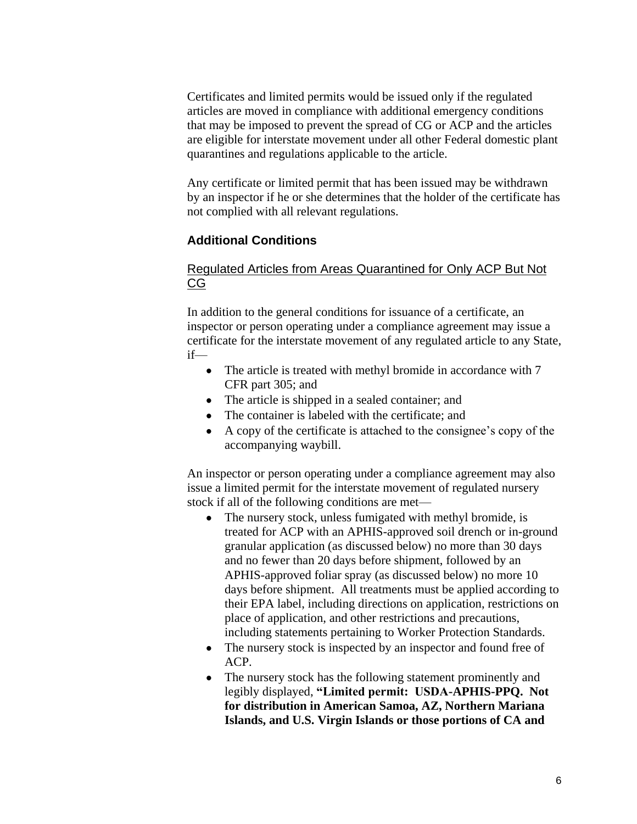Certificates and limited permits would be issued only if the regulated articles are moved in compliance with additional emergency conditions that may be imposed to prevent the spread of CG or ACP and the articles are eligible for interstate movement under all other Federal domestic plant quarantines and regulations applicable to the article.

Any certificate or limited permit that has been issued may be withdrawn by an inspector if he or she determines that the holder of the certificate has not complied with all relevant regulations.

#### **Additional Conditions**

#### Regulated Articles from Areas Quarantined for Only ACP But Not CG

In addition to the general conditions for issuance of a certificate, an inspector or person operating under a compliance agreement may issue a certificate for the interstate movement of any regulated article to any State, if—

- The article is treated with methyl bromide in accordance with 7 CFR part 305; and
- The article is shipped in a sealed container; and
- The container is labeled with the certificate: and
- A copy of the certificate is attached to the consignee's copy of the accompanying waybill.

An inspector or person operating under a compliance agreement may also issue a limited permit for the interstate movement of regulated nursery stock if all of the following conditions are met—

- The nursery stock, unless fumigated with methyl bromide, is  $\bullet$ treated for ACP with an APHIS-approved soil drench or in-ground granular application (as discussed below) no more than 30 days and no fewer than 20 days before shipment, followed by an APHIS-approved foliar spray (as discussed below) no more 10 days before shipment. All treatments must be applied according to their EPA label, including directions on application, restrictions on place of application, and other restrictions and precautions, including statements pertaining to Worker Protection Standards.
- The nursery stock is inspected by an inspector and found free of ACP.
- The nursery stock has the following statement prominently and legibly displayed, **"Limited permit: USDA-APHIS-PPQ. Not for distribution in American Samoa, AZ, Northern Mariana Islands, and U.S. Virgin Islands or those portions of CA and**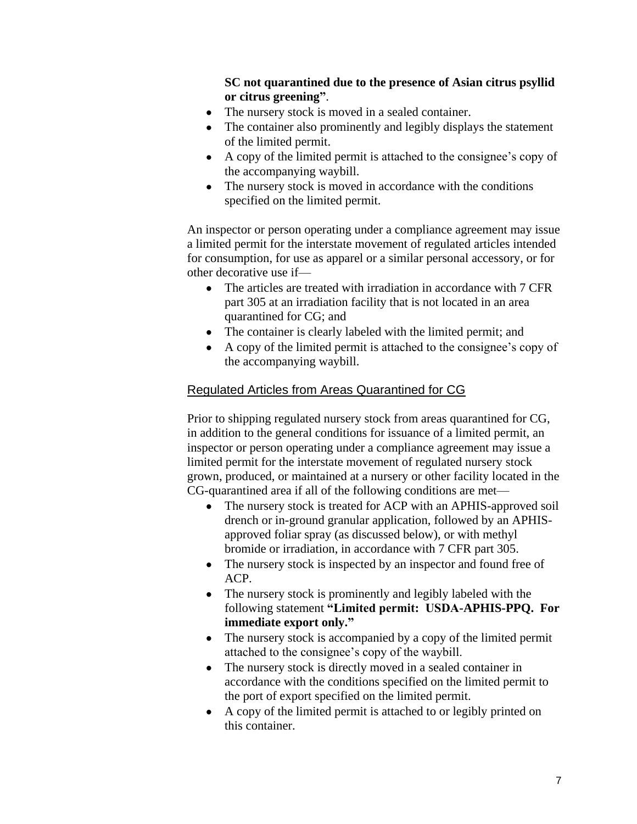**SC not quarantined due to the presence of Asian citrus psyllid or citrus greening"**.

- The nursery stock is moved in a sealed container.
- The container also prominently and legibly displays the statement of the limited permit.
- A copy of the limited permit is attached to the consignee's copy of the accompanying waybill.
- The nursery stock is moved in accordance with the conditions specified on the limited permit.

An inspector or person operating under a compliance agreement may issue a limited permit for the interstate movement of regulated articles intended for consumption, for use as apparel or a similar personal accessory, or for other decorative use if—

- The articles are treated with irradiation in accordance with 7 CFR part 305 at an irradiation facility that is not located in an area quarantined for CG; and
- The container is clearly labeled with the limited permit; and
- A copy of the limited permit is attached to the consignee's copy of the accompanying waybill.

#### Regulated Articles from Areas Quarantined for CG

Prior to shipping regulated nursery stock from areas quarantined for CG, in addition to the general conditions for issuance of a limited permit, an inspector or person operating under a compliance agreement may issue a limited permit for the interstate movement of regulated nursery stock grown, produced, or maintained at a nursery or other facility located in the CG-quarantined area if all of the following conditions are met—

- The nursery stock is treated for ACP with an APHIS-approved soil drench or in-ground granular application, followed by an APHISapproved foliar spray (as discussed below), or with methyl bromide or irradiation, in accordance with 7 CFR part 305.
- The nursery stock is inspected by an inspector and found free of ACP.
- The nursery stock is prominently and legibly labeled with the following statement **"Limited permit: USDA-APHIS-PPQ. For immediate export only."**
- The nursery stock is accompanied by a copy of the limited permit attached to the consignee's copy of the waybill.
- The nursery stock is directly moved in a sealed container in  $\bullet$ accordance with the conditions specified on the limited permit to the port of export specified on the limited permit.
- A copy of the limited permit is attached to or legibly printed on this container.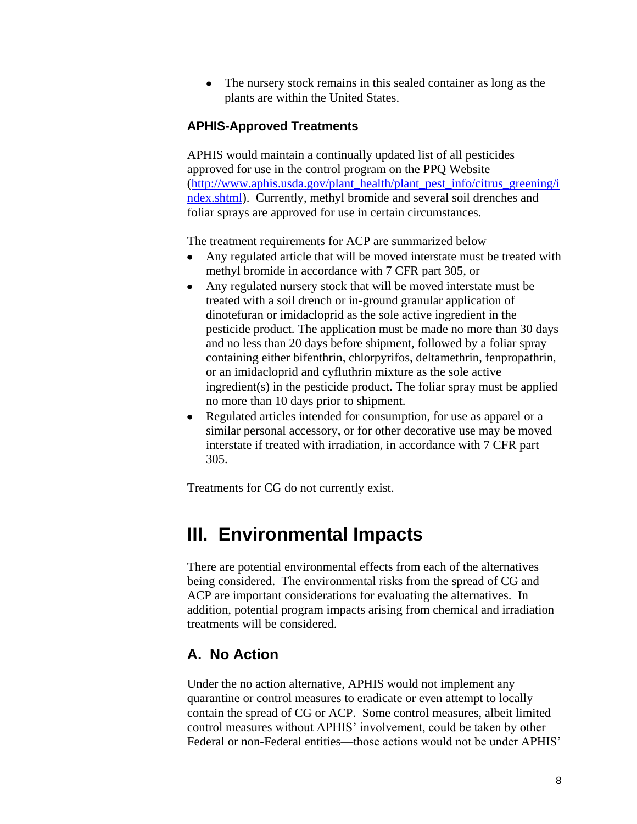The nursery stock remains in this sealed container as long as the  $\bullet$ plants are within the United States.

#### **APHIS-Approved Treatments**

APHIS would maintain a continually updated list of all pesticides approved for use in the control program on the PPQ Website [\(http://www.aphis.usda.gov/plant\\_health/plant\\_pest\\_info/citrus\\_greening/i](http://www.aphis.usda.gov/plant_health/plant_pest_info/citrus_greening/index.shtml) [ndex.shtml\)](http://www.aphis.usda.gov/plant_health/plant_pest_info/citrus_greening/index.shtml). Currently, methyl bromide and several soil drenches and foliar sprays are approved for use in certain circumstances.

The treatment requirements for ACP are summarized below—

- Any regulated article that will be moved interstate must be treated with methyl bromide in accordance with 7 CFR part 305, or
- Any regulated nursery stock that will be moved interstate must be treated with a soil drench or in-ground granular application of dinotefuran or imidacloprid as the sole active ingredient in the pesticide product. The application must be made no more than 30 days and no less than 20 days before shipment, followed by a foliar spray containing either bifenthrin, chlorpyrifos, deltamethrin, fenpropathrin, or an imidacloprid and cyfluthrin mixture as the sole active ingredient(s) in the pesticide product. The foliar spray must be applied no more than 10 days prior to shipment.
- $\bullet$ Regulated articles intended for consumption, for use as apparel or a similar personal accessory, or for other decorative use may be moved interstate if treated with irradiation, in accordance with 7 CFR part 305.

Treatments for CG do not currently exist.

# <span id="page-10-0"></span>**III. Environmental Impacts**

There are potential environmental effects from each of the alternatives being considered. The environmental risks from the spread of CG and ACP are important considerations for evaluating the alternatives. In addition, potential program impacts arising from chemical and irradiation treatments will be considered.

#### <span id="page-10-1"></span>**A. No Action**

Under the no action alternative, APHIS would not implement any quarantine or control measures to eradicate or even attempt to locally contain the spread of CG or ACP. Some control measures, albeit limited control measures without APHIS' involvement, could be taken by other Federal or non-Federal entities—those actions would not be under APHIS'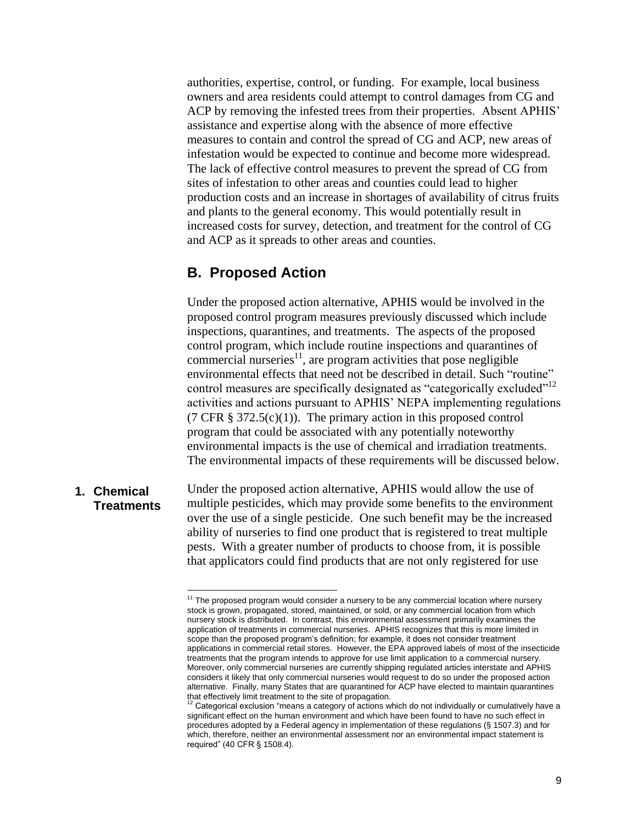authorities, expertise, control, or funding. For example, local business owners and area residents could attempt to control damages from CG and ACP by removing the infested trees from their properties. Absent APHIS' assistance and expertise along with the absence of more effective measures to contain and control the spread of CG and ACP, new areas of infestation would be expected to continue and become more widespread. The lack of effective control measures to prevent the spread of CG from sites of infestation to other areas and counties could lead to higher production costs and an increase in shortages of availability of citrus fruits and plants to the general economy. This would potentially result in increased costs for survey, detection, and treatment for the control of CG and ACP as it spreads to other areas and counties.

#### <span id="page-11-0"></span>**B. Proposed Action**

 $\overline{a}$ 

Under the proposed action alternative, APHIS would be involved in the proposed control program measures previously discussed which include inspections, quarantines, and treatments. The aspects of the proposed control program, which include routine inspections and quarantines of commercial nurseries $1$ , are program activities that pose negligible environmental effects that need not be described in detail. Such "routine" control measures are specifically designated as "categorically excluded"<sup>12</sup> activities and actions pursuant to APHIS' NEPA implementing regulations (7 CFR  $\S 372.5(c)(1)$ ). The primary action in this proposed control program that could be associated with any potentially noteworthy environmental impacts is the use of chemical and irradiation treatments. The environmental impacts of these requirements will be discussed below.

Under the proposed action alternative, APHIS would allow the use of multiple pesticides, which may provide some benefits to the environment over the use of a single pesticide. One such benefit may be the increased ability of nurseries to find one product that is registered to treat multiple pests. With a greater number of products to choose from, it is possible that applicators could find products that are not only registered for use **1. Chemical Treatments**

 $11$  The proposed program would consider a nursery to be any commercial location where nursery stock is grown, propagated, stored, maintained, or sold, or any commercial location from which nursery stock is distributed. In contrast, this environmental assessment primarily examines the application of treatments in commercial nurseries. APHIS recognizes that this is more limited in scope than the proposed program's definition; for example, it does not consider treatment applications in commercial retail stores. However, the EPA approved labels of most of the insecticide treatments that the program intends to approve for use limit application to a commercial nursery. Moreover, only commercial nurseries are currently shipping regulated articles interstate and APHIS considers it likely that only commercial nurseries would request to do so under the proposed action alternative. Finally, many States that are quarantined for ACP have elected to maintain quarantines that effectively limit treatment to the site of propagation.

Categorical exclusion "means a category of actions which do not individually or cumulatively have a significant effect on the human environment and which have been found to have no such effect in procedures adopted by a Federal agency in implementation of these regulations (§ 1507.3) and for which, therefore, neither an environmental assessment nor an environmental impact statement is required‖ (40 CFR § 1508.4).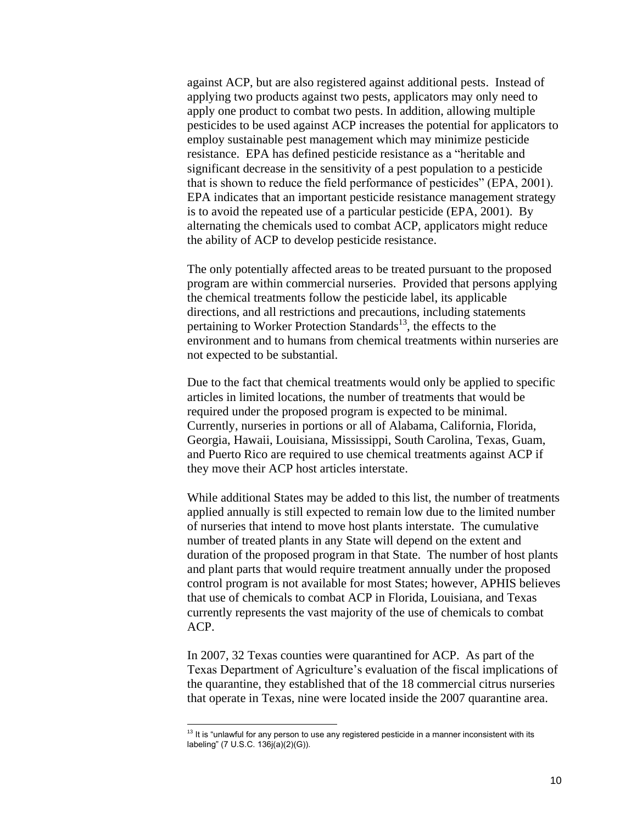against ACP, but are also registered against additional pests. Instead of applying two products against two pests, applicators may only need to apply one product to combat two pests. In addition, allowing multiple pesticides to be used against ACP increases the potential for applicators to employ sustainable pest management which may minimize pesticide resistance. EPA has defined pesticide resistance as a "heritable and significant decrease in the sensitivity of a pest population to a pesticide that is shown to reduce the field performance of pesticides" (EPA, 2001). EPA indicates that an important pesticide resistance management strategy is to avoid the repeated use of a particular pesticide (EPA, 2001). By alternating the chemicals used to combat ACP, applicators might reduce the ability of ACP to develop pesticide resistance.

The only potentially affected areas to be treated pursuant to the proposed program are within commercial nurseries. Provided that persons applying the chemical treatments follow the pesticide label, its applicable directions, and all restrictions and precautions, including statements pertaining to Worker Protection Standards<sup>13</sup>, the effects to the environment and to humans from chemical treatments within nurseries are not expected to be substantial.

Due to the fact that chemical treatments would only be applied to specific articles in limited locations, the number of treatments that would be required under the proposed program is expected to be minimal. Currently, nurseries in portions or all of Alabama, California, Florida, Georgia, Hawaii, Louisiana, Mississippi, South Carolina, Texas, Guam, and Puerto Rico are required to use chemical treatments against ACP if they move their ACP host articles interstate.

While additional States may be added to this list, the number of treatments applied annually is still expected to remain low due to the limited number of nurseries that intend to move host plants interstate. The cumulative number of treated plants in any State will depend on the extent and duration of the proposed program in that State. The number of host plants and plant parts that would require treatment annually under the proposed control program is not available for most States; however, APHIS believes that use of chemicals to combat ACP in Florida, Louisiana, and Texas currently represents the vast majority of the use of chemicals to combat ACP.

In 2007, 32 Texas counties were quarantined for ACP. As part of the Texas Department of Agriculture's evaluation of the fiscal implications of the quarantine, they established that of the 18 commercial citrus nurseries that operate in Texas, nine were located inside the 2007 quarantine area.

 $\overline{a}$ 

 $13$  It is "unlawful for any person to use any registered pesticide in a manner inconsistent with its labeling" (7 U.S.C. 136j(a)(2)(G)).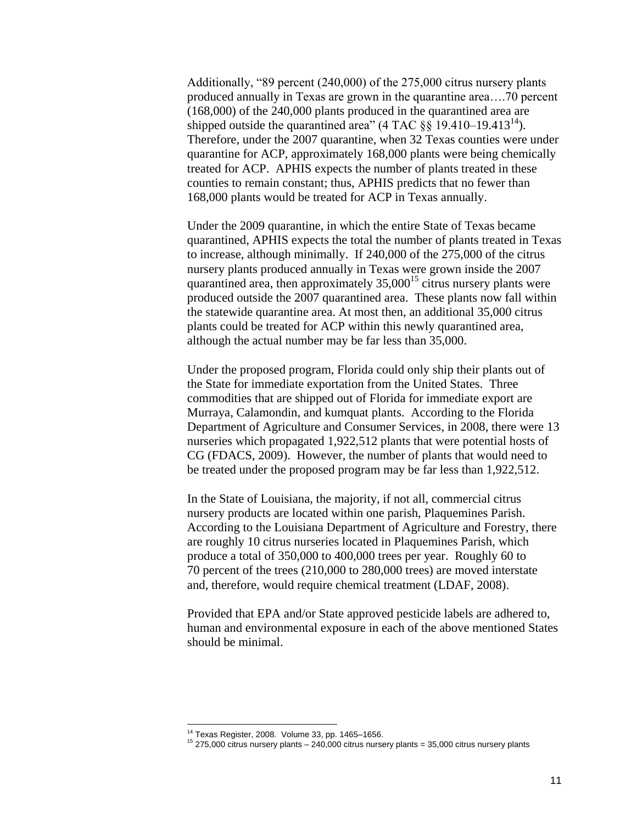Additionally,  $9$  percent (240,000) of the 275,000 citrus nursery plants produced annually in Texas are grown in the quarantine area….70 percent (168,000) of the 240,000 plants produced in the quarantined area are shipped outside the quarantined area" (4 TAC  $\S$ § 19.410–19.413<sup>14</sup>). Therefore, under the 2007 quarantine, when 32 Texas counties were under quarantine for ACP, approximately 168,000 plants were being chemically treated for ACP. APHIS expects the number of plants treated in these counties to remain constant; thus, APHIS predicts that no fewer than 168,000 plants would be treated for ACP in Texas annually.

Under the 2009 quarantine, in which the entire State of Texas became quarantined, APHIS expects the total the number of plants treated in Texas to increase, although minimally. If 240,000 of the 275,000 of the citrus nursery plants produced annually in Texas were grown inside the 2007 quarantined area, then approximately  $35,000^{15}$  citrus nursery plants were produced outside the 2007 quarantined area. These plants now fall within the statewide quarantine area. At most then, an additional 35,000 citrus plants could be treated for ACP within this newly quarantined area, although the actual number may be far less than 35,000.

Under the proposed program, Florida could only ship their plants out of the State for immediate exportation from the United States. Three commodities that are shipped out of Florida for immediate export are Murraya, Calamondin, and kumquat plants. According to the Florida Department of Agriculture and Consumer Services, in 2008, there were 13 nurseries which propagated 1,922,512 plants that were potential hosts of CG (FDACS, 2009). However, the number of plants that would need to be treated under the proposed program may be far less than 1,922,512.

In the State of Louisiana, the majority, if not all, commercial citrus nursery products are located within one parish, Plaquemines Parish. According to the Louisiana Department of Agriculture and Forestry, there are roughly 10 citrus nurseries located in Plaquemines Parish, which produce a total of 350,000 to 400,000 trees per year. Roughly 60 to 70 percent of the trees (210,000 to 280,000 trees) are moved interstate and, therefore, would require chemical treatment (LDAF, 2008).

Provided that EPA and/or State approved pesticide labels are adhered to, human and environmental exposure in each of the above mentioned States should be minimal.

 $\overline{a}$ 

 $14$  Texas Register, 2008. Volume 33, pp. 1465–1656.

 $15$  275,000 citrus nursery plants – 240,000 citrus nursery plants = 35,000 citrus nursery plants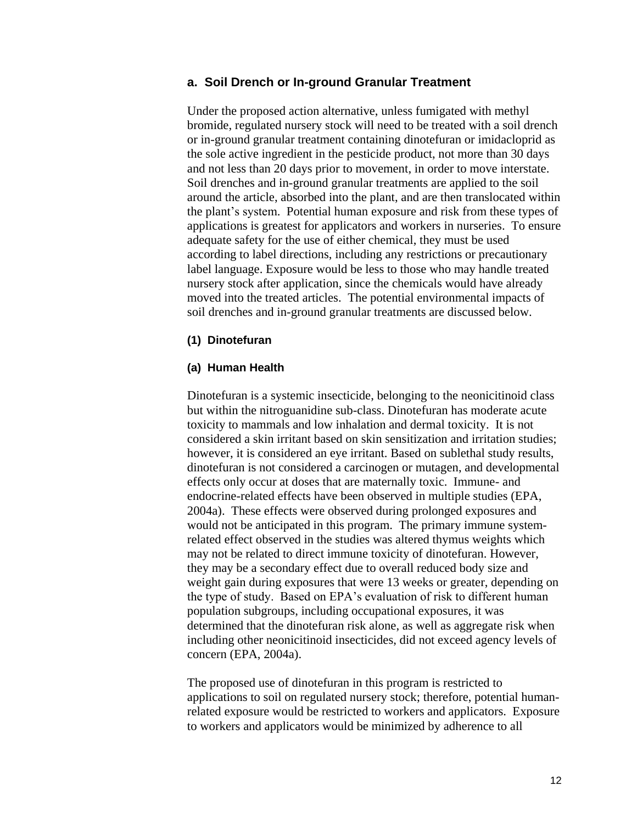#### **a. Soil Drench or In-ground Granular Treatment**

Under the proposed action alternative, unless fumigated with methyl bromide, regulated nursery stock will need to be treated with a soil drench or in-ground granular treatment containing dinotefuran or imidacloprid as the sole active ingredient in the pesticide product, not more than 30 days and not less than 20 days prior to movement, in order to move interstate. Soil drenches and in-ground granular treatments are applied to the soil around the article, absorbed into the plant, and are then translocated within the plant's system. Potential human exposure and risk from these types of applications is greatest for applicators and workers in nurseries. To ensure adequate safety for the use of either chemical, they must be used according to label directions, including any restrictions or precautionary label language. Exposure would be less to those who may handle treated nursery stock after application, since the chemicals would have already moved into the treated articles. The potential environmental impacts of soil drenches and in-ground granular treatments are discussed below.

#### **(1) Dinotefuran**

#### **(a) Human Health**

Dinotefuran is a systemic insecticide, belonging to the neonicitinoid class but within the nitroguanidine sub-class. Dinotefuran has moderate acute toxicity to mammals and low inhalation and dermal toxicity. It is not considered a skin irritant based on skin sensitization and irritation studies; however, it is considered an eye irritant. Based on sublethal study results, dinotefuran is not considered a carcinogen or mutagen, and developmental effects only occur at doses that are maternally toxic. Immune- and endocrine-related effects have been observed in multiple studies (EPA, 2004a). These effects were observed during prolonged exposures and would not be anticipated in this program. The primary immune systemrelated effect observed in the studies was altered thymus weights which may not be related to direct immune toxicity of dinotefuran. However, they may be a secondary effect due to overall reduced body size and weight gain during exposures that were 13 weeks or greater, depending on the type of study. Based on EPA's evaluation of risk to different human population subgroups, including occupational exposures, it was determined that the dinotefuran risk alone, as well as aggregate risk when including other neonicitinoid insecticides, did not exceed agency levels of concern (EPA, 2004a).

The proposed use of dinotefuran in this program is restricted to applications to soil on regulated nursery stock; therefore, potential humanrelated exposure would be restricted to workers and applicators. Exposure to workers and applicators would be minimized by adherence to all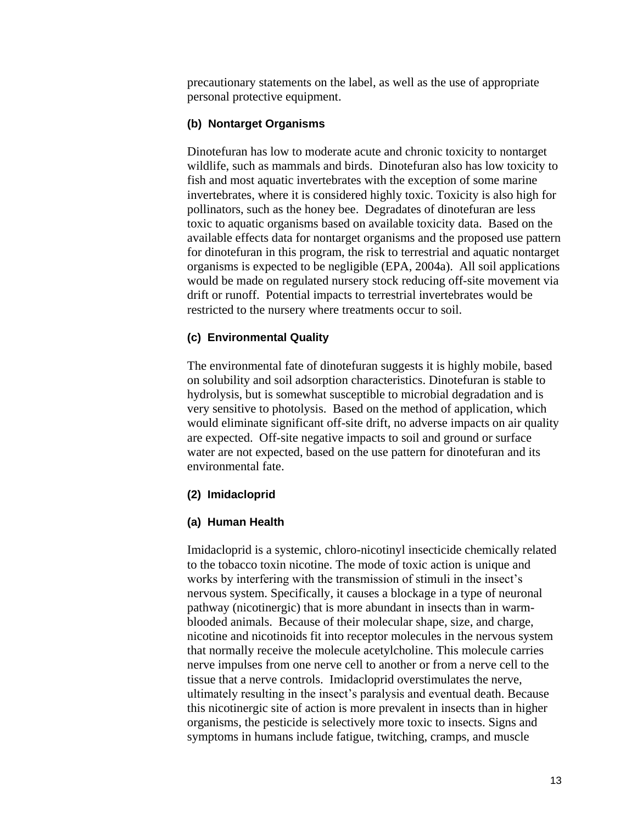precautionary statements on the label, as well as the use of appropriate personal protective equipment.

#### **(b) Nontarget Organisms**

Dinotefuran has low to moderate acute and chronic toxicity to nontarget wildlife, such as mammals and birds. Dinotefuran also has low toxicity to fish and most aquatic invertebrates with the exception of some marine invertebrates, where it is considered highly toxic. Toxicity is also high for pollinators, such as the honey bee. Degradates of dinotefuran are less toxic to aquatic organisms based on available toxicity data. Based on the available effects data for nontarget organisms and the proposed use pattern for dinotefuran in this program, the risk to terrestrial and aquatic nontarget organisms is expected to be negligible (EPA, 2004a). All soil applications would be made on regulated nursery stock reducing off-site movement via drift or runoff. Potential impacts to terrestrial invertebrates would be restricted to the nursery where treatments occur to soil.

#### **(c) Environmental Quality**

The environmental fate of dinotefuran suggests it is highly mobile, based on solubility and soil adsorption characteristics. Dinotefuran is stable to hydrolysis, but is somewhat susceptible to microbial degradation and is very sensitive to photolysis. Based on the method of application, which would eliminate significant off-site drift, no adverse impacts on air quality are expected. Off-site negative impacts to soil and ground or surface water are not expected, based on the use pattern for dinotefuran and its environmental fate.

#### **(2) Imidacloprid**

#### **(a) Human Health**

Imidacloprid is a systemic, chloro-nicotinyl insecticide chemically related to the tobacco toxin nicotine. The mode of toxic action is unique and works by interfering with the transmission of stimuli in the insect's nervous system. Specifically, it causes a blockage in a type of neuronal pathway (nicotinergic) that is more abundant in insects than in warmblooded animals. Because of their molecular shape, size, and charge, nicotine and nicotinoids fit into receptor molecules in the nervous system that normally receive the molecule acetylcholine. This molecule carries nerve impulses from one nerve cell to another or from a nerve cell to the tissue that a nerve controls. Imidacloprid overstimulates the nerve, ultimately resulting in the insect's paralysis and eventual death. Because this nicotinergic site of action is more prevalent in insects than in higher organisms, the pesticide is selectively more toxic to insects. Signs and symptoms in humans include fatigue, twitching, cramps, and muscle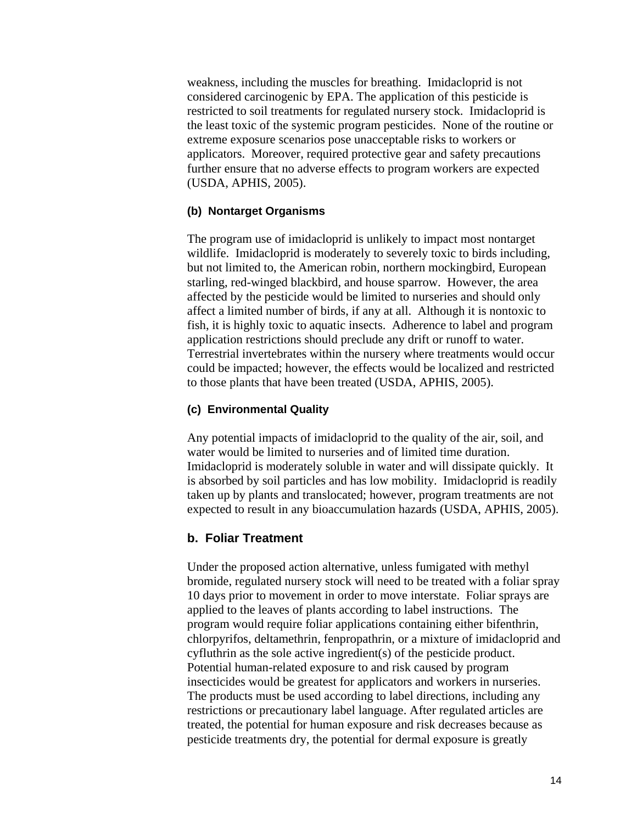weakness, including the muscles for breathing. Imidacloprid is not considered carcinogenic by EPA. The application of this pesticide is restricted to soil treatments for regulated nursery stock. Imidacloprid is the least toxic of the systemic program pesticides. None of the routine or extreme exposure scenarios pose unacceptable risks to workers or applicators. Moreover, required protective gear and safety precautions further ensure that no adverse effects to program workers are expected (USDA, APHIS, 2005).

#### **(b) Nontarget Organisms**

The program use of imidacloprid is unlikely to impact most nontarget wildlife. Imidacloprid is moderately to severely toxic to birds including, but not limited to, the American robin, northern mockingbird, European starling, red-winged blackbird, and house sparrow. However, the area affected by the pesticide would be limited to nurseries and should only affect a limited number of birds, if any at all. Although it is nontoxic to fish, it is highly toxic to aquatic insects. Adherence to label and program application restrictions should preclude any drift or runoff to water. Terrestrial invertebrates within the nursery where treatments would occur could be impacted; however, the effects would be localized and restricted to those plants that have been treated (USDA, APHIS, 2005).

#### **(c) Environmental Quality**

Any potential impacts of imidacloprid to the quality of the air, soil, and water would be limited to nurseries and of limited time duration. Imidacloprid is moderately soluble in water and will dissipate quickly. It is absorbed by soil particles and has low mobility. Imidacloprid is readily taken up by plants and translocated; however, program treatments are not expected to result in any bioaccumulation hazards (USDA, APHIS, 2005).

#### **b. Foliar Treatment**

Under the proposed action alternative, unless fumigated with methyl bromide, regulated nursery stock will need to be treated with a foliar spray 10 days prior to movement in order to move interstate. Foliar sprays are applied to the leaves of plants according to label instructions. The program would require foliar applications containing either bifenthrin, chlorpyrifos, deltamethrin, fenpropathrin, or a mixture of imidacloprid and cyfluthrin as the sole active ingredient(s) of the pesticide product. Potential human-related exposure to and risk caused by program insecticides would be greatest for applicators and workers in nurseries. The products must be used according to label directions, including any restrictions or precautionary label language. After regulated articles are treated, the potential for human exposure and risk decreases because as pesticide treatments dry, the potential for dermal exposure is greatly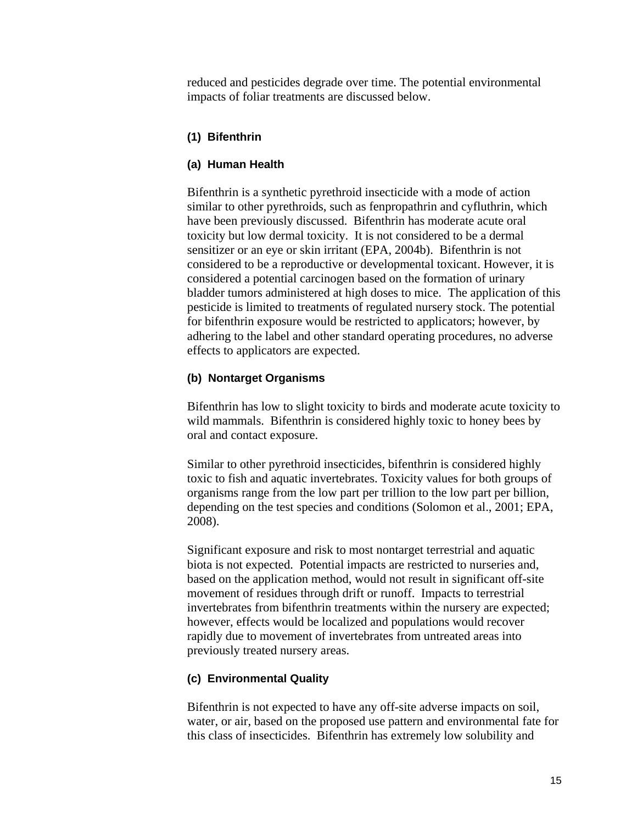reduced and pesticides degrade over time. The potential environmental impacts of foliar treatments are discussed below.

#### **(1) Bifenthrin**

#### **(a) Human Health**

Bifenthrin is a synthetic pyrethroid insecticide with a mode of action similar to other pyrethroids, such as fenpropathrin and cyfluthrin, which have been previously discussed. Bifenthrin has moderate acute oral toxicity but low dermal toxicity. It is not considered to be a dermal sensitizer or an eye or skin irritant (EPA, 2004b). Bifenthrin is not considered to be a reproductive or developmental toxicant. However, it is considered a potential carcinogen based on the formation of urinary bladder tumors administered at high doses to mice. The application of this pesticide is limited to treatments of regulated nursery stock. The potential for bifenthrin exposure would be restricted to applicators; however, by adhering to the label and other standard operating procedures, no adverse effects to applicators are expected.

#### **(b) Nontarget Organisms**

Bifenthrin has low to slight toxicity to birds and moderate acute toxicity to wild mammals. Bifenthrin is considered highly toxic to honey bees by oral and contact exposure.

Similar to other pyrethroid insecticides, bifenthrin is considered highly toxic to fish and aquatic invertebrates. Toxicity values for both groups of organisms range from the low part per trillion to the low part per billion, depending on the test species and conditions (Solomon et al., 2001; EPA, 2008).

Significant exposure and risk to most nontarget terrestrial and aquatic biota is not expected. Potential impacts are restricted to nurseries and, based on the application method, would not result in significant off-site movement of residues through drift or runoff. Impacts to terrestrial invertebrates from bifenthrin treatments within the nursery are expected; however, effects would be localized and populations would recover rapidly due to movement of invertebrates from untreated areas into previously treated nursery areas.

#### **(c) Environmental Quality**

Bifenthrin is not expected to have any off-site adverse impacts on soil, water, or air, based on the proposed use pattern and environmental fate for this class of insecticides. Bifenthrin has extremely low solubility and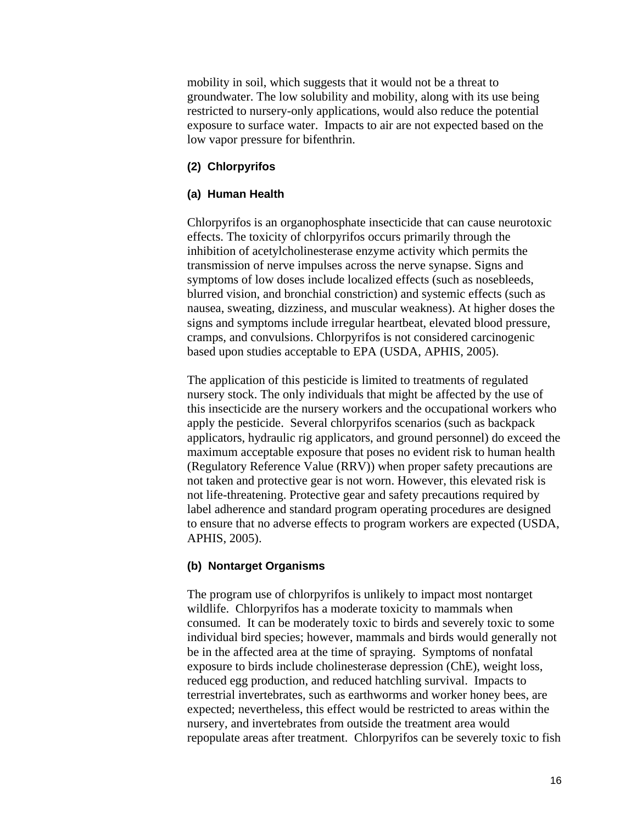mobility in soil, which suggests that it would not be a threat to groundwater. The low solubility and mobility, along with its use being restricted to nursery-only applications, would also reduce the potential exposure to surface water. Impacts to air are not expected based on the low vapor pressure for bifenthrin.

#### **(2) Chlorpyrifos**

#### **(a) Human Health**

Chlorpyrifos is an organophosphate insecticide that can cause neurotoxic effects. The toxicity of chlorpyrifos occurs primarily through the inhibition of acetylcholinesterase enzyme activity which permits the transmission of nerve impulses across the nerve synapse. Signs and symptoms of low doses include localized effects (such as nosebleeds, blurred vision, and bronchial constriction) and systemic effects (such as nausea, sweating, dizziness, and muscular weakness). At higher doses the signs and symptoms include irregular heartbeat, elevated blood pressure, cramps, and convulsions. Chlorpyrifos is not considered carcinogenic based upon studies acceptable to EPA (USDA, APHIS, 2005).

The application of this pesticide is limited to treatments of regulated nursery stock. The only individuals that might be affected by the use of this insecticide are the nursery workers and the occupational workers who apply the pesticide. Several chlorpyrifos scenarios (such as backpack applicators, hydraulic rig applicators, and ground personnel) do exceed the maximum acceptable exposure that poses no evident risk to human health (Regulatory Reference Value (RRV)) when proper safety precautions are not taken and protective gear is not worn. However, this elevated risk is not life-threatening. Protective gear and safety precautions required by label adherence and standard program operating procedures are designed to ensure that no adverse effects to program workers are expected (USDA, APHIS, 2005).

#### **(b) Nontarget Organisms**

The program use of chlorpyrifos is unlikely to impact most nontarget wildlife. Chlorpyrifos has a moderate toxicity to mammals when consumed. It can be moderately toxic to birds and severely toxic to some individual bird species; however, mammals and birds would generally not be in the affected area at the time of spraying. Symptoms of nonfatal exposure to birds include cholinesterase depression (ChE), weight loss, reduced egg production, and reduced hatchling survival. Impacts to terrestrial invertebrates, such as earthworms and worker honey bees, are expected; nevertheless, this effect would be restricted to areas within the nursery, and invertebrates from outside the treatment area would repopulate areas after treatment. Chlorpyrifos can be severely toxic to fish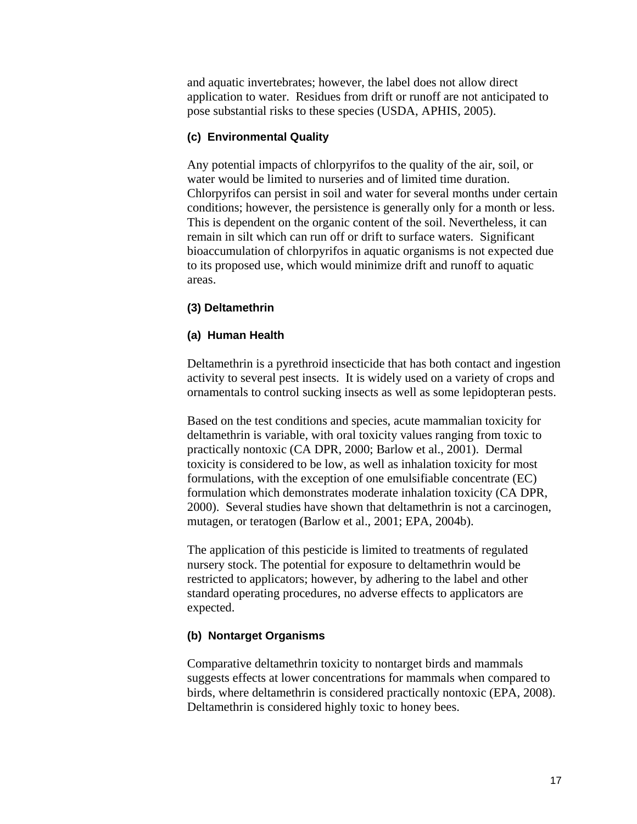and aquatic invertebrates; however, the label does not allow direct application to water. Residues from drift or runoff are not anticipated to pose substantial risks to these species (USDA, APHIS, 2005).

#### **(c) Environmental Quality**

Any potential impacts of chlorpyrifos to the quality of the air, soil, or water would be limited to nurseries and of limited time duration. Chlorpyrifos can persist in soil and water for several months under certain conditions; however, the persistence is generally only for a month or less. This is dependent on the organic content of the soil. Nevertheless, it can remain in silt which can run off or drift to surface waters. Significant bioaccumulation of chlorpyrifos in aquatic organisms is not expected due to its proposed use, which would minimize drift and runoff to aquatic areas.

#### **(3) Deltamethrin**

#### **(a) Human Health**

Deltamethrin is a pyrethroid insecticide that has both contact and ingestion activity to several pest insects. It is widely used on a variety of crops and ornamentals to control sucking insects as well as some lepidopteran pests.

Based on the test conditions and species, acute mammalian toxicity for deltamethrin is variable, with oral toxicity values ranging from toxic to practically nontoxic (CA DPR, 2000; Barlow et al., 2001). Dermal toxicity is considered to be low, as well as inhalation toxicity for most formulations, with the exception of one emulsifiable concentrate (EC) formulation which demonstrates moderate inhalation toxicity (CA DPR, 2000). Several studies have shown that deltamethrin is not a carcinogen, mutagen, or teratogen (Barlow et al., 2001; EPA, 2004b).

The application of this pesticide is limited to treatments of regulated nursery stock. The potential for exposure to deltamethrin would be restricted to applicators; however, by adhering to the label and other standard operating procedures, no adverse effects to applicators are expected.

#### **(b) Nontarget Organisms**

Comparative deltamethrin toxicity to nontarget birds and mammals suggests effects at lower concentrations for mammals when compared to birds, where deltamethrin is considered practically nontoxic (EPA, 2008). Deltamethrin is considered highly toxic to honey bees.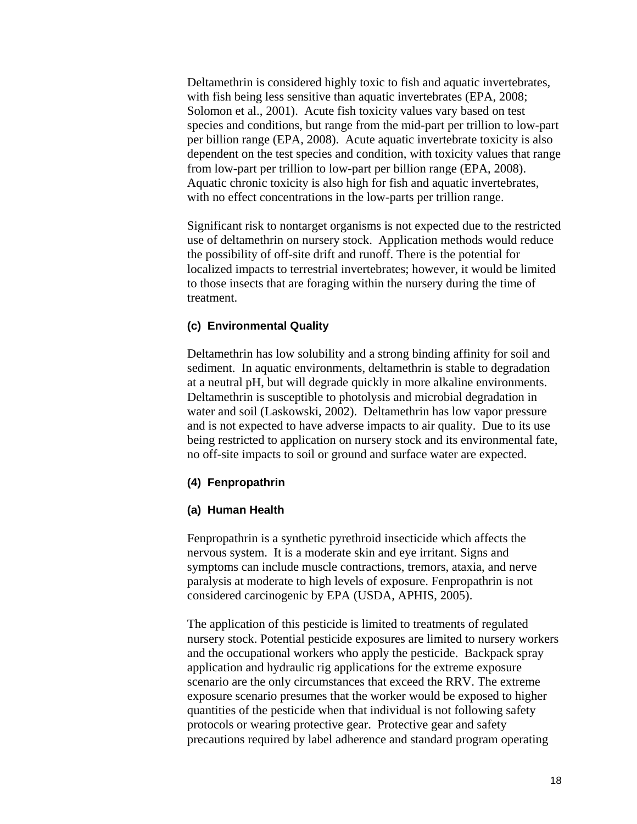Deltamethrin is considered highly toxic to fish and aquatic invertebrates, with fish being less sensitive than aquatic invertebrates (EPA, 2008; Solomon et al., 2001). Acute fish toxicity values vary based on test species and conditions, but range from the mid-part per trillion to low-part per billion range (EPA, 2008). Acute aquatic invertebrate toxicity is also dependent on the test species and condition, with toxicity values that range from low-part per trillion to low-part per billion range (EPA, 2008). Aquatic chronic toxicity is also high for fish and aquatic invertebrates, with no effect concentrations in the low-parts per trillion range.

Significant risk to nontarget organisms is not expected due to the restricted use of deltamethrin on nursery stock. Application methods would reduce the possibility of off-site drift and runoff. There is the potential for localized impacts to terrestrial invertebrates; however, it would be limited to those insects that are foraging within the nursery during the time of treatment.

#### **(c) Environmental Quality**

Deltamethrin has low solubility and a strong binding affinity for soil and sediment. In aquatic environments, deltamethrin is stable to degradation at a neutral pH, but will degrade quickly in more alkaline environments. Deltamethrin is susceptible to photolysis and microbial degradation in water and soil (Laskowski, 2002). Deltamethrin has low vapor pressure and is not expected to have adverse impacts to air quality. Due to its use being restricted to application on nursery stock and its environmental fate, no off-site impacts to soil or ground and surface water are expected.

#### **(4) Fenpropathrin**

#### **(a) Human Health**

Fenpropathrin is a synthetic pyrethroid insecticide which affects the nervous system. It is a moderate skin and eye irritant. Signs and symptoms can include muscle contractions, tremors, ataxia, and nerve paralysis at moderate to high levels of exposure. Fenpropathrin is not considered carcinogenic by EPA (USDA, APHIS, 2005).

The application of this pesticide is limited to treatments of regulated nursery stock. Potential pesticide exposures are limited to nursery workers and the occupational workers who apply the pesticide. Backpack spray application and hydraulic rig applications for the extreme exposure scenario are the only circumstances that exceed the RRV. The extreme exposure scenario presumes that the worker would be exposed to higher quantities of the pesticide when that individual is not following safety protocols or wearing protective gear. Protective gear and safety precautions required by label adherence and standard program operating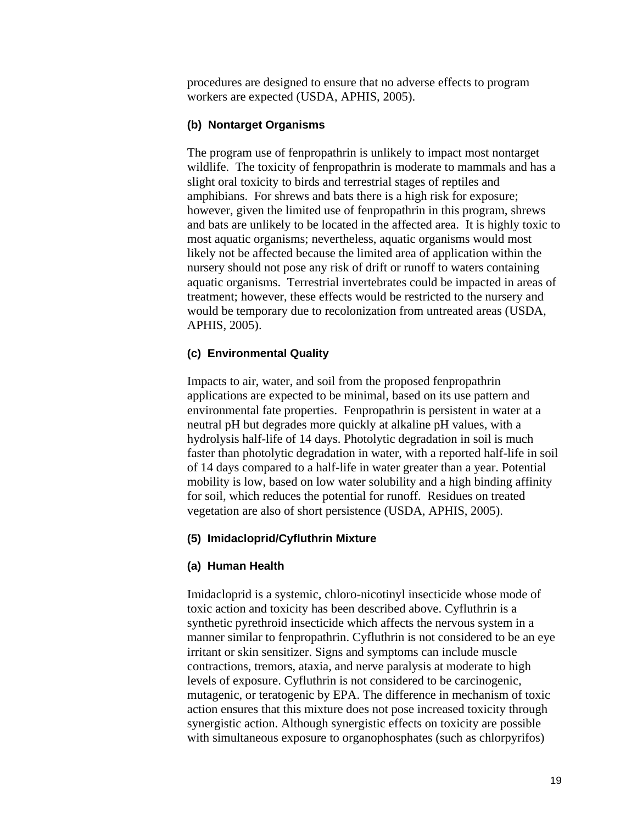procedures are designed to ensure that no adverse effects to program workers are expected (USDA, APHIS, 2005).

#### **(b) Nontarget Organisms**

The program use of fenpropathrin is unlikely to impact most nontarget wildlife. The toxicity of fenpropathrin is moderate to mammals and has a slight oral toxicity to birds and terrestrial stages of reptiles and amphibians. For shrews and bats there is a high risk for exposure; however, given the limited use of fenpropathrin in this program, shrews and bats are unlikely to be located in the affected area. It is highly toxic to most aquatic organisms; nevertheless, aquatic organisms would most likely not be affected because the limited area of application within the nursery should not pose any risk of drift or runoff to waters containing aquatic organisms. Terrestrial invertebrates could be impacted in areas of treatment; however, these effects would be restricted to the nursery and would be temporary due to recolonization from untreated areas (USDA, APHIS, 2005).

#### **(c) Environmental Quality**

Impacts to air, water, and soil from the proposed fenpropathrin applications are expected to be minimal, based on its use pattern and environmental fate properties. Fenpropathrin is persistent in water at a neutral pH but degrades more quickly at alkaline pH values, with a hydrolysis half-life of 14 days. Photolytic degradation in soil is much faster than photolytic degradation in water, with a reported half-life in soil of 14 days compared to a half-life in water greater than a year. Potential mobility is low, based on low water solubility and a high binding affinity for soil, which reduces the potential for runoff. Residues on treated vegetation are also of short persistence (USDA, APHIS, 2005).

#### **(5) Imidacloprid/Cyfluthrin Mixture**

#### **(a) Human Health**

Imidacloprid is a systemic, chloro-nicotinyl insecticide whose mode of toxic action and toxicity has been described above. Cyfluthrin is a synthetic pyrethroid insecticide which affects the nervous system in a manner similar to fenpropathrin. Cyfluthrin is not considered to be an eye irritant or skin sensitizer. Signs and symptoms can include muscle contractions, tremors, ataxia, and nerve paralysis at moderate to high levels of exposure. Cyfluthrin is not considered to be carcinogenic, mutagenic, or teratogenic by EPA. The difference in mechanism of toxic action ensures that this mixture does not pose increased toxicity through synergistic action. Although synergistic effects on toxicity are possible with simultaneous exposure to organophosphates (such as chlorpyrifos)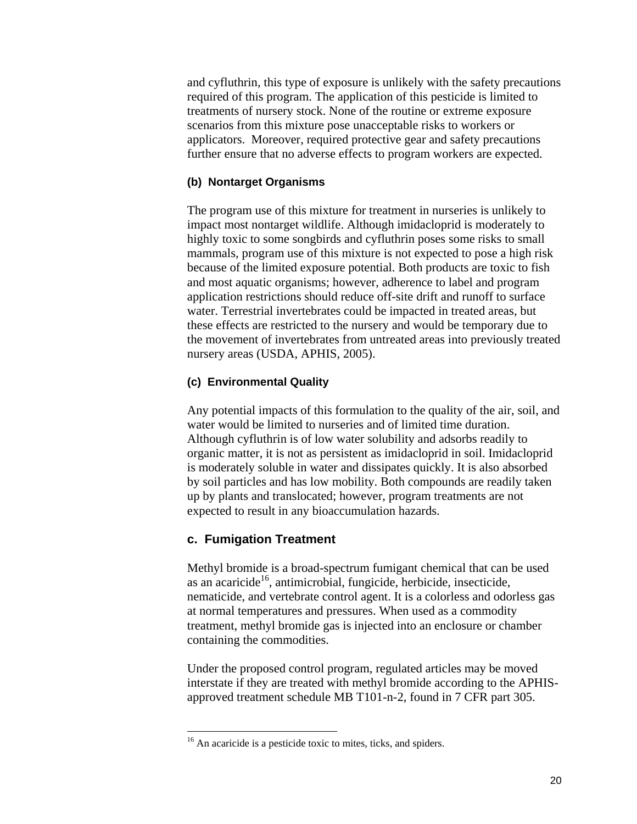and cyfluthrin, this type of exposure is unlikely with the safety precautions required of this program. The application of this pesticide is limited to treatments of nursery stock. None of the routine or extreme exposure scenarios from this mixture pose unacceptable risks to workers or applicators. Moreover, required protective gear and safety precautions further ensure that no adverse effects to program workers are expected.

#### **(b) Nontarget Organisms**

The program use of this mixture for treatment in nurseries is unlikely to impact most nontarget wildlife. Although imidacloprid is moderately to highly toxic to some songbirds and cyfluthrin poses some risks to small mammals, program use of this mixture is not expected to pose a high risk because of the limited exposure potential. Both products are toxic to fish and most aquatic organisms; however, adherence to label and program application restrictions should reduce off-site drift and runoff to surface water. Terrestrial invertebrates could be impacted in treated areas, but these effects are restricted to the nursery and would be temporary due to the movement of invertebrates from untreated areas into previously treated nursery areas (USDA, APHIS, 2005).

#### **(c) Environmental Quality**

Any potential impacts of this formulation to the quality of the air, soil, and water would be limited to nurseries and of limited time duration. Although cyfluthrin is of low water solubility and adsorbs readily to organic matter, it is not as persistent as imidacloprid in soil. Imidacloprid is moderately soluble in water and dissipates quickly. It is also absorbed by soil particles and has low mobility. Both compounds are readily taken up by plants and translocated; however, program treatments are not expected to result in any bioaccumulation hazards.

#### **c. Fumigation Treatment**

 $\overline{a}$ 

Methyl bromide is a broad-spectrum fumigant chemical that can be used as an acaricide<sup>16</sup>, antimicrobial, fungicide, herbicide, insecticide, nematicide, and vertebrate control agent. It is a colorless and odorless gas at normal temperatures and pressures. When used as a commodity treatment, methyl bromide gas is injected into an enclosure or chamber containing the commodities.

Under the proposed control program, regulated articles may be moved interstate if they are treated with methyl bromide according to the APHISapproved treatment schedule MB T101-n-2, found in 7 CFR part 305.

<sup>&</sup>lt;sup>16</sup> An acaricide is a pesticide toxic to mites, ticks, and spiders.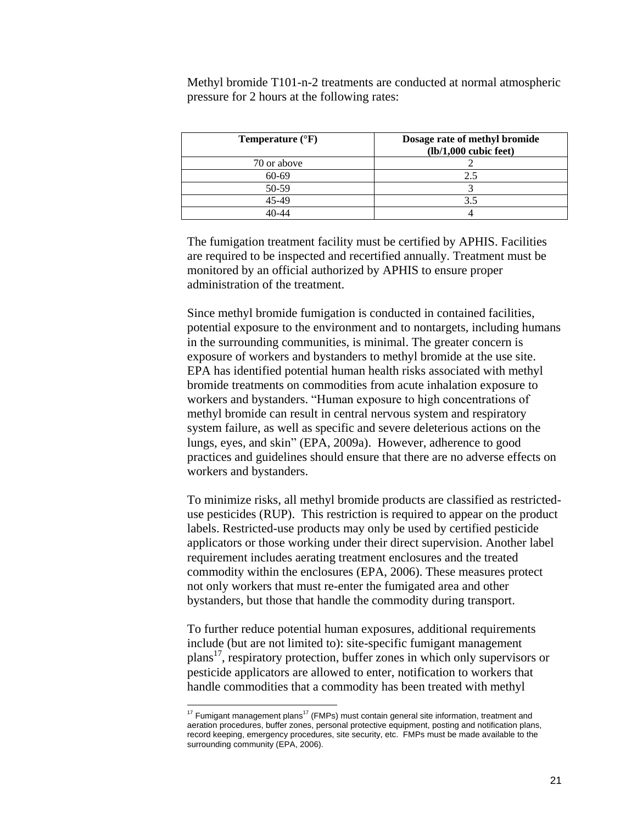Methyl bromide T101-n-2 treatments are conducted at normal atmospheric pressure for 2 hours at the following rates:

| <b>Temperature</b> $(^{\circ}F)$ | Dosage rate of methyl bromide<br>$(lb/1,000$ cubic feet) |
|----------------------------------|----------------------------------------------------------|
| 70 or above                      |                                                          |
| 60-69                            | 2.5                                                      |
| 50-59                            |                                                          |
| 45-49                            | 3.5                                                      |
|                                  |                                                          |

The fumigation treatment facility must be certified by APHIS. Facilities are required to be inspected and recertified annually. Treatment must be monitored by an official authorized by APHIS to ensure proper administration of the treatment.

Since methyl bromide fumigation is conducted in contained facilities, potential exposure to the environment and to nontargets, including humans in the surrounding communities, is minimal. The greater concern is exposure of workers and bystanders to methyl bromide at the use site. EPA has identified potential human health risks associated with methyl bromide treatments on commodities from acute inhalation exposure to workers and bystanders. "Human exposure to high concentrations of methyl bromide can result in central nervous system and respiratory system failure, as well as specific and severe deleterious actions on the lungs, eyes, and skin" (EPA, 2009a). However, adherence to good practices and guidelines should ensure that there are no adverse effects on workers and bystanders.

To minimize risks, all methyl bromide products are classified as restricteduse pesticides (RUP). This restriction is required to appear on the product labels. Restricted-use products may only be used by certified pesticide applicators or those working under their direct supervision. Another label requirement includes aerating treatment enclosures and the treated commodity within the enclosures (EPA, 2006). These measures protect not only workers that must re-enter the fumigated area and other bystanders, but those that handle the commodity during transport.

To further reduce potential human exposures, additional requirements include (but are not limited to): site-specific fumigant management  $plan's<sup>17</sup>$ , respiratory protection, buffer zones in which only supervisors or pesticide applicators are allowed to enter, notification to workers that handle commodities that a commodity has been treated with methyl

 $\overline{a}$ 

 $17$  Fumigant management plans $17$  (FMPs) must contain general site information, treatment and aeration procedures, buffer zones, personal protective equipment, posting and notification plans, record keeping, emergency procedures, site security, etc. FMPs must be made available to the surrounding community (EPA, 2006).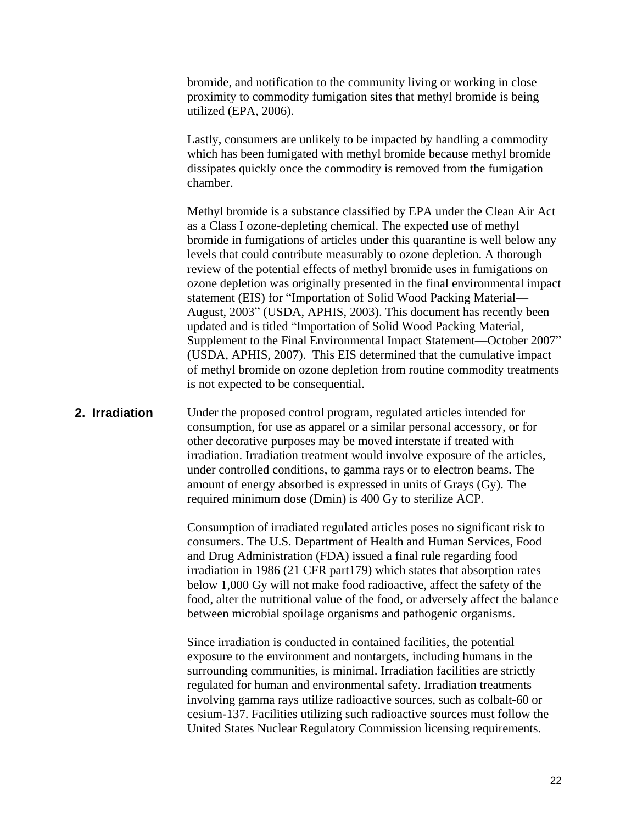bromide, and notification to the community living or working in close proximity to commodity fumigation sites that methyl bromide is being utilized (EPA, 2006).

Lastly, consumers are unlikely to be impacted by handling a commodity which has been fumigated with methyl bromide because methyl bromide dissipates quickly once the commodity is removed from the fumigation chamber.

Methyl bromide is a substance classified by EPA under the Clean Air Act as a Class I ozone-depleting chemical. The expected use of methyl bromide in fumigations of articles under this quarantine is well below any levels that could contribute measurably to ozone depletion. A thorough review of the potential effects of methyl bromide uses in fumigations on ozone depletion was originally presented in the final environmental impact statement (EIS) for "Importation of Solid Wood Packing Material— August, 2003" (USDA, APHIS, 2003). This document has recently been updated and is titled "Importation of Solid Wood Packing Material, Supplement to the Final Environmental Impact Statement—October 2007" (USDA, APHIS, 2007). This EIS determined that the cumulative impact of methyl bromide on ozone depletion from routine commodity treatments is not expected to be consequential.

#### **2. Irradiation**

Under the proposed control program, regulated articles intended for consumption, for use as apparel or a similar personal accessory, or for other decorative purposes may be moved interstate if treated with irradiation. Irradiation treatment would involve exposure of the articles, under controlled conditions, to gamma rays or to electron beams. The amount of energy absorbed is expressed in units of Grays (Gy). The required minimum dose (Dmin) is 400 Gy to sterilize ACP.

Consumption of irradiated regulated articles poses no significant risk to consumers. The U.S. Department of Health and Human Services, Food and Drug Administration (FDA) issued a final rule regarding food irradiation in 1986 (21 CFR part179) which states that absorption rates below 1,000 Gy will not make food radioactive, affect the safety of the food, alter the nutritional value of the food, or adversely affect the balance between microbial spoilage organisms and pathogenic organisms.

Since irradiation is conducted in contained facilities, the potential exposure to the environment and nontargets, including humans in the surrounding communities, is minimal. Irradiation facilities are strictly regulated for human and environmental safety. Irradiation treatments involving gamma rays utilize radioactive sources, such as colbalt-60 or cesium-137. Facilities utilizing such radioactive sources must follow the United States Nuclear Regulatory Commission licensing requirements.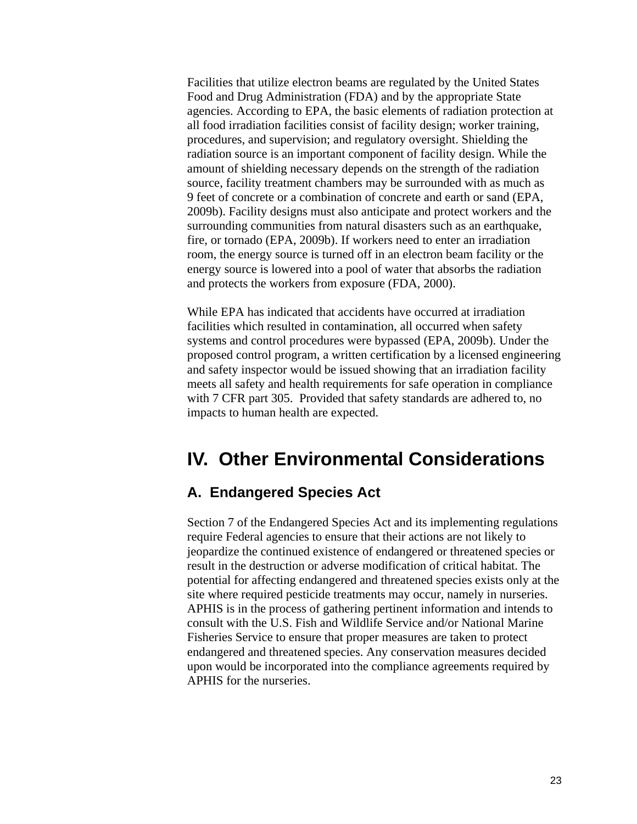Facilities that utilize electron beams are regulated by the United States Food and Drug Administration (FDA) and by the appropriate State agencies. According to EPA, the basic elements of radiation protection at all food irradiation facilities consist of facility design; worker training, procedures, and supervision; and regulatory oversight. Shielding the radiation source is an important component of facility design. While the amount of shielding necessary depends on the strength of the radiation source, facility treatment chambers may be surrounded with as much as 9 feet of concrete or a combination of concrete and earth or sand (EPA, 2009b). Facility designs must also anticipate and protect workers and the surrounding communities from natural disasters such as an earthquake, fire, or tornado (EPA, 2009b). If workers need to enter an irradiation room, the energy source is turned off in an electron beam facility or the energy source is lowered into a pool of water that absorbs the radiation and protects the workers from exposure (FDA, 2000).

While EPA has indicated that accidents have occurred at irradiation facilities which resulted in contamination, all occurred when safety systems and control procedures were bypassed (EPA, 2009b). Under the proposed control program, a written certification by a licensed engineering and safety inspector would be issued showing that an irradiation facility meets all safety and health requirements for safe operation in compliance with 7 CFR part 305. Provided that safety standards are adhered to, no impacts to human health are expected.

# <span id="page-25-0"></span>**IV. Other Environmental Considerations**

#### <span id="page-25-1"></span>**A. Endangered Species Act**

Section 7 of the Endangered Species Act and its implementing regulations require Federal agencies to ensure that their actions are not likely to jeopardize the continued existence of endangered or threatened species or result in the destruction or adverse modification of critical habitat. The potential for affecting endangered and threatened species exists only at the site where required pesticide treatments may occur, namely in nurseries. APHIS is in the process of gathering pertinent information and intends to consult with the U.S. Fish and Wildlife Service and/or National Marine Fisheries Service to ensure that proper measures are taken to protect endangered and threatened species. Any conservation measures decided upon would be incorporated into the compliance agreements required by APHIS for the nurseries.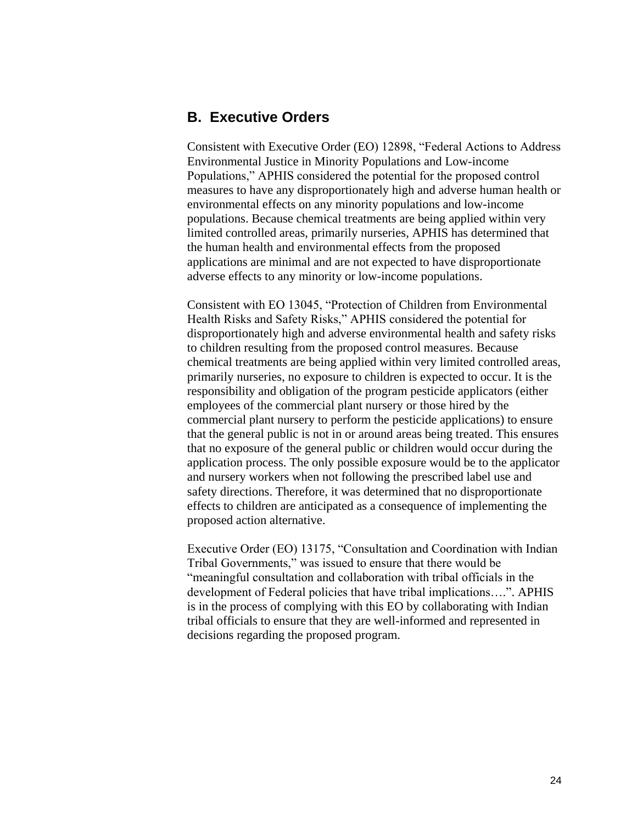#### <span id="page-26-0"></span>**B. Executive Orders**

Consistent with Executive Order (EO) 12898, "Federal Actions to Address Environmental Justice in Minority Populations and Low-income Populations," APHIS considered the potential for the proposed control measures to have any disproportionately high and adverse human health or environmental effects on any minority populations and low-income populations. Because chemical treatments are being applied within very limited controlled areas, primarily nurseries, APHIS has determined that the human health and environmental effects from the proposed applications are minimal and are not expected to have disproportionate adverse effects to any minority or low-income populations.

Consistent with EO 13045, "Protection of Children from Environmental Health Risks and Safety Risks," APHIS considered the potential for disproportionately high and adverse environmental health and safety risks to children resulting from the proposed control measures. Because chemical treatments are being applied within very limited controlled areas, primarily nurseries, no exposure to children is expected to occur. It is the responsibility and obligation of the program pesticide applicators (either employees of the commercial plant nursery or those hired by the commercial plant nursery to perform the pesticide applications) to ensure that the general public is not in or around areas being treated. This ensures that no exposure of the general public or children would occur during the application process. The only possible exposure would be to the applicator and nursery workers when not following the prescribed label use and safety directions. Therefore, it was determined that no disproportionate effects to children are anticipated as a consequence of implementing the proposed action alternative.

<span id="page-26-1"></span>Executive Order (EO) 13175, "Consultation and Coordination with Indian Tribal Governments," was issued to ensure that there would be "meaningful consultation and collaboration with tribal officials in the development of Federal policies that have tribal implications....". APHIS is in the process of complying with this EO by collaborating with Indian tribal officials to ensure that they are well-informed and represented in decisions regarding the proposed program.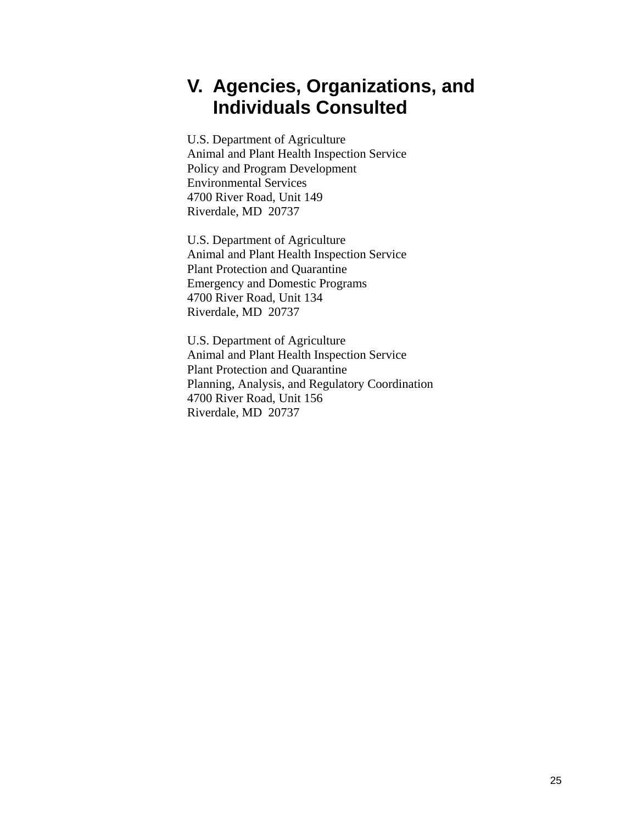# **V. Agencies, Organizations, and Individuals Consulted**

U.S. Department of Agriculture Animal and Plant Health Inspection Service Policy and Program Development Environmental Services 4700 River Road, Unit 149 Riverdale, MD 20737

U.S. Department of Agriculture Animal and Plant Health Inspection Service Plant Protection and Quarantine Emergency and Domestic Programs 4700 River Road, Unit 134 Riverdale, MD 20737

U.S. Department of Agriculture Animal and Plant Health Inspection Service Plant Protection and Quarantine Planning, Analysis, and Regulatory Coordination 4700 River Road, Unit 156 Riverdale, MD 20737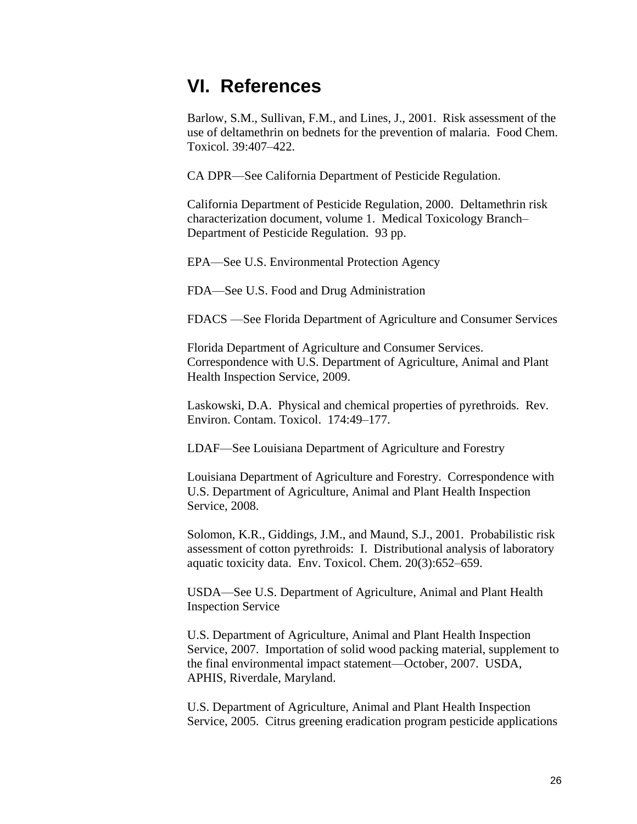# <span id="page-28-0"></span>**VI. References**

Barlow, S.M., Sullivan, F.M., and Lines, J., 2001. Risk assessment of the use of deltamethrin on bednets for the prevention of malaria. Food Chem. Toxicol. 39:407–422.

CA DPR—See California Department of Pesticide Regulation.

California Department of Pesticide Regulation, 2000. Deltamethrin risk characterization document, volume 1. Medical Toxicology Branch– Department of Pesticide Regulation. 93 pp.

EPA—See U.S. Environmental Protection Agency

FDA—See U.S. Food and Drug Administration

FDACS —See Florida Department of Agriculture and Consumer Services

Florida Department of Agriculture and Consumer Services. Correspondence with U.S. Department of Agriculture, Animal and Plant Health Inspection Service, 2009.

Laskowski, D.A. Physical and chemical properties of pyrethroids. Rev. Environ. Contam. Toxicol. 174:49–177.

LDAF—See Louisiana Department of Agriculture and Forestry

Louisiana Department of Agriculture and Forestry. Correspondence with U.S. Department of Agriculture, Animal and Plant Health Inspection Service, 2008.

Solomon, K.R., Giddings, J.M., and Maund, S.J., 2001. Probabilistic risk assessment of cotton pyrethroids: I. Distributional analysis of laboratory aquatic toxicity data. Env. Toxicol. Chem. 20(3):652–659.

USDA—See U.S. Department of Agriculture, Animal and Plant Health Inspection Service

U.S. Department of Agriculture, Animal and Plant Health Inspection Service, 2007. Importation of solid wood packing material, supplement to the final environmental impact statement—October, 2007. USDA, APHIS, Riverdale, Maryland.

U.S. Department of Agriculture, Animal and Plant Health Inspection Service, 2005. Citrus greening eradication program pesticide applications